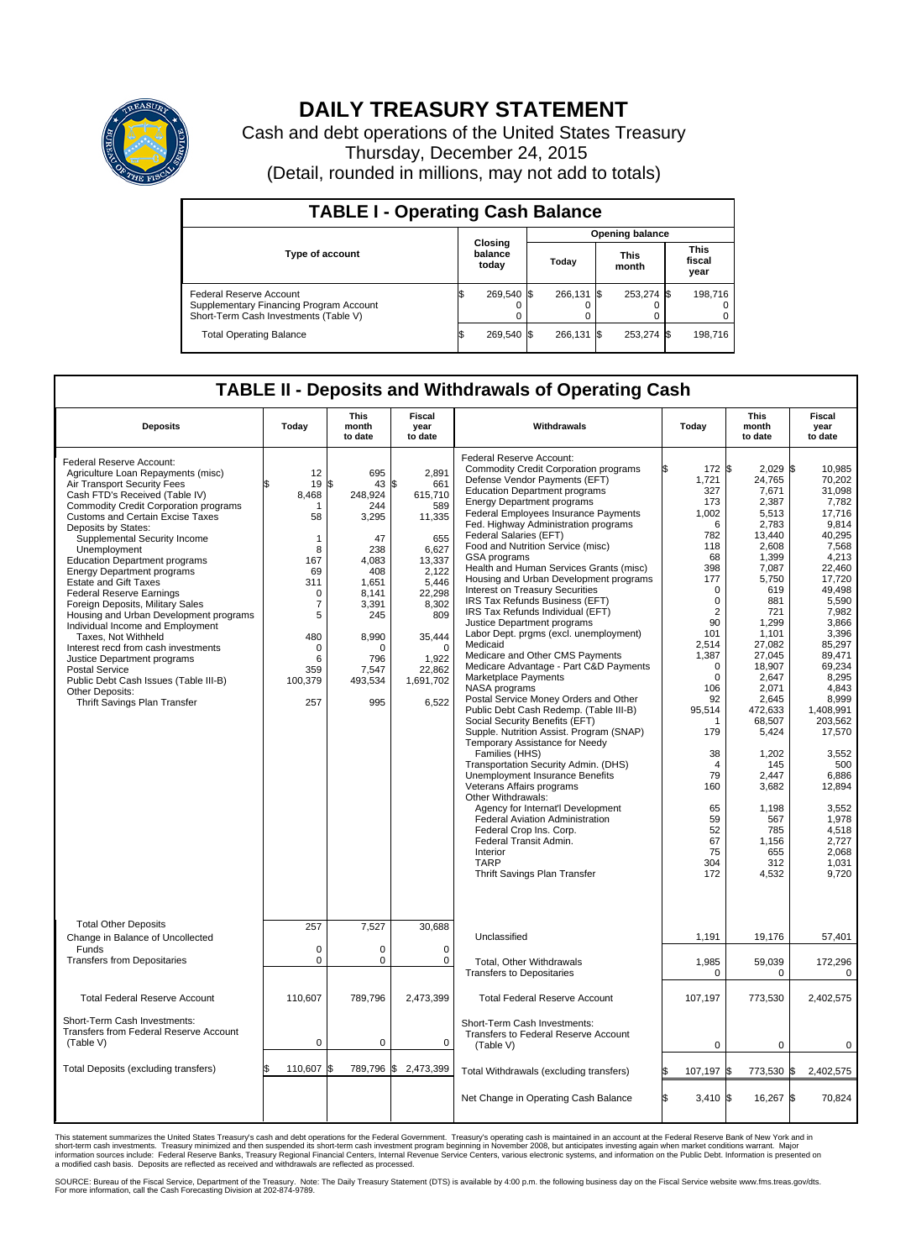

## **DAILY TREASURY STATEMENT**

Cash and debt operations of the United States Treasury Thursday, December 24, 2015 (Detail, rounded in millions, may not add to totals)

| <b>TABLE I - Operating Cash Balance</b>                                                                     |  |                             |  |                        |  |                      |  |                               |  |  |  |
|-------------------------------------------------------------------------------------------------------------|--|-----------------------------|--|------------------------|--|----------------------|--|-------------------------------|--|--|--|
|                                                                                                             |  |                             |  | <b>Opening balance</b> |  |                      |  |                               |  |  |  |
| <b>Type of account</b>                                                                                      |  | Closing<br>balance<br>today |  | Todav                  |  | <b>This</b><br>month |  | <b>This</b><br>fiscal<br>year |  |  |  |
| Federal Reserve Account<br>Supplementary Financing Program Account<br>Short-Term Cash Investments (Table V) |  | 269,540 \$                  |  | 266.131 \$             |  | 253,274 \$           |  | 198.716                       |  |  |  |
| <b>Total Operating Balance</b>                                                                              |  | 269,540 \$                  |  | 266.131 \$             |  | 253,274 \$           |  | 198,716                       |  |  |  |

## **TABLE II - Deposits and Withdrawals of Operating Cash**

| <b>Deposits</b>                                                                                                                                                                                                                                                                                                                                                                                                                                                                                                                                                                                                                                                                                                                                                                | Today                                                                                                                                                 | <b>This</b><br>month<br>to date                                                                                                                                  | <b>Fiscal</b><br>year<br>to date                                                                                                                                                    | Withdrawals                                                                                                                                                                                                                                                                                                                                                                                                                                                                                                                                                                                                                                                                                                                                                                                                                                                                                                                                                                                                                                                                                                                                                                                                                                                                                                      |    | Today                                                                                                                                                                                                                                                                                                          | <b>This</b><br>month<br>to date                                                                                                                                                                                                                                                                                               | Fiscal<br>year<br>to date                                                                                                                                                                                                                                                                                                                         |
|--------------------------------------------------------------------------------------------------------------------------------------------------------------------------------------------------------------------------------------------------------------------------------------------------------------------------------------------------------------------------------------------------------------------------------------------------------------------------------------------------------------------------------------------------------------------------------------------------------------------------------------------------------------------------------------------------------------------------------------------------------------------------------|-------------------------------------------------------------------------------------------------------------------------------------------------------|------------------------------------------------------------------------------------------------------------------------------------------------------------------|-------------------------------------------------------------------------------------------------------------------------------------------------------------------------------------|------------------------------------------------------------------------------------------------------------------------------------------------------------------------------------------------------------------------------------------------------------------------------------------------------------------------------------------------------------------------------------------------------------------------------------------------------------------------------------------------------------------------------------------------------------------------------------------------------------------------------------------------------------------------------------------------------------------------------------------------------------------------------------------------------------------------------------------------------------------------------------------------------------------------------------------------------------------------------------------------------------------------------------------------------------------------------------------------------------------------------------------------------------------------------------------------------------------------------------------------------------------------------------------------------------------|----|----------------------------------------------------------------------------------------------------------------------------------------------------------------------------------------------------------------------------------------------------------------------------------------------------------------|-------------------------------------------------------------------------------------------------------------------------------------------------------------------------------------------------------------------------------------------------------------------------------------------------------------------------------|---------------------------------------------------------------------------------------------------------------------------------------------------------------------------------------------------------------------------------------------------------------------------------------------------------------------------------------------------|
| Federal Reserve Account:<br>Agriculture Loan Repayments (misc)<br>Air Transport Security Fees<br>Cash FTD's Received (Table IV)<br><b>Commodity Credit Corporation programs</b><br>Customs and Certain Excise Taxes<br>Deposits by States:<br>Supplemental Security Income<br>Unemployment<br><b>Education Department programs</b><br><b>Energy Department programs</b><br><b>Estate and Gift Taxes</b><br><b>Federal Reserve Earnings</b><br>Foreign Deposits, Military Sales<br>Housing and Urban Development programs<br>Individual Income and Employment<br>Taxes, Not Withheld<br>Interest recd from cash investments<br>Justice Department programs<br><b>Postal Service</b><br>Public Debt Cash Issues (Table III-B)<br>Other Deposits:<br>Thrift Savings Plan Transfer | 12<br>19<br>8,468<br>-1<br>58<br>1<br>8<br>167<br>69<br>311<br>$\mathbf 0$<br>$\overline{7}$<br>5<br>480<br>$\mathbf 0$<br>6<br>359<br>100,379<br>257 | 695<br>\$<br>43<br>248,924<br>244<br>3,295<br>47<br>238<br>4,083<br>408<br>1.651<br>8,141<br>3,391<br>245<br>8,990<br>$\Omega$<br>796<br>7,547<br>493,534<br>995 | 2,891<br>\$<br>661<br>615,710<br>589<br>11,335<br>655<br>6,627<br>13,337<br>2,122<br>5,446<br>22,298<br>8,302<br>809<br>35,444<br>$\Omega$<br>1,922<br>22,862<br>1,691,702<br>6,522 | Federal Reserve Account:<br><b>Commodity Credit Corporation programs</b><br>Defense Vendor Payments (EFT)<br><b>Education Department programs</b><br><b>Energy Department programs</b><br><b>Federal Employees Insurance Payments</b><br>Fed. Highway Administration programs<br>Federal Salaries (EFT)<br>Food and Nutrition Service (misc)<br>GSA programs<br>Health and Human Services Grants (misc)<br>Housing and Urban Development programs<br>Interest on Treasury Securities<br>IRS Tax Refunds Business (EFT)<br>IRS Tax Refunds Individual (EFT)<br>Justice Department programs<br>Labor Dept. prgms (excl. unemployment)<br>Medicaid<br>Medicare and Other CMS Payments<br>Medicare Advantage - Part C&D Payments<br>Marketplace Payments<br>NASA programs<br>Postal Service Money Orders and Other<br>Public Debt Cash Redemp. (Table III-B)<br>Social Security Benefits (EFT)<br>Supple. Nutrition Assist. Program (SNAP)<br>Temporary Assistance for Needy<br>Families (HHS)<br>Transportation Security Admin. (DHS)<br>Unemployment Insurance Benefits<br>Veterans Affairs programs<br>Other Withdrawals:<br>Agency for Internat'l Development<br>Federal Aviation Administration<br>Federal Crop Ins. Corp.<br>Federal Transit Admin.<br>Interior<br><b>TARP</b><br>Thrift Savings Plan Transfer |    | 172 \$<br>1,721<br>327<br>173<br>1,002<br>6<br>782<br>118<br>68<br>398<br>177<br>$\mathbf 0$<br>$\mathbf 0$<br>$\overline{2}$<br>90<br>101<br>2,514<br>1,387<br>$\mathbf 0$<br>$\mathbf 0$<br>106<br>92<br>95,514<br>1<br>179<br>38<br>$\overline{4}$<br>79<br>160<br>65<br>59<br>52<br>67<br>75<br>304<br>172 | $2,029$ \$<br>24,765<br>7,671<br>2,387<br>5.513<br>2,783<br>13,440<br>2,608<br>1,399<br>7,087<br>5,750<br>619<br>881<br>721<br>1.299<br>1.101<br>27,082<br>27,045<br>18.907<br>2,647<br>2.071<br>2,645<br>472,633<br>68,507<br>5,424<br>1,202<br>145<br>2,447<br>3,682<br>1,198<br>567<br>785<br>1,156<br>655<br>312<br>4,532 | 10.985<br>70,202<br>31.098<br>7,782<br>17.716<br>9,814<br>40.295<br>7,568<br>4,213<br>22,460<br>17,720<br>49.498<br>5,590<br>7,982<br>3,866<br>3,396<br>85,297<br>89.471<br>69.234<br>8,295<br>4.843<br>8,999<br>1,408,991<br>203,562<br>17,570<br>3,552<br>500<br>6,886<br>12,894<br>3,552<br>1.978<br>4,518<br>2,727<br>2.068<br>1,031<br>9,720 |
| <b>Total Other Deposits</b><br>Change in Balance of Uncollected<br>Funds                                                                                                                                                                                                                                                                                                                                                                                                                                                                                                                                                                                                                                                                                                       | 257<br>$\mathbf 0$                                                                                                                                    | 7,527<br>0                                                                                                                                                       | 30,688<br>$\mathbf 0$                                                                                                                                                               | Unclassified                                                                                                                                                                                                                                                                                                                                                                                                                                                                                                                                                                                                                                                                                                                                                                                                                                                                                                                                                                                                                                                                                                                                                                                                                                                                                                     |    | 1,191                                                                                                                                                                                                                                                                                                          | 19,176                                                                                                                                                                                                                                                                                                                        | 57,401                                                                                                                                                                                                                                                                                                                                            |
| <b>Transfers from Depositaries</b>                                                                                                                                                                                                                                                                                                                                                                                                                                                                                                                                                                                                                                                                                                                                             | $\mathbf 0$                                                                                                                                           | 0                                                                                                                                                                | $\mathbf 0$                                                                                                                                                                         | Total, Other Withdrawals<br><b>Transfers to Depositaries</b>                                                                                                                                                                                                                                                                                                                                                                                                                                                                                                                                                                                                                                                                                                                                                                                                                                                                                                                                                                                                                                                                                                                                                                                                                                                     |    | 1,985<br>0                                                                                                                                                                                                                                                                                                     | 59,039<br>0                                                                                                                                                                                                                                                                                                                   | 172,296<br>0                                                                                                                                                                                                                                                                                                                                      |
| <b>Total Federal Reserve Account</b>                                                                                                                                                                                                                                                                                                                                                                                                                                                                                                                                                                                                                                                                                                                                           | 110.607                                                                                                                                               | 789.796                                                                                                                                                          | 2,473,399                                                                                                                                                                           | <b>Total Federal Reserve Account</b>                                                                                                                                                                                                                                                                                                                                                                                                                                                                                                                                                                                                                                                                                                                                                                                                                                                                                                                                                                                                                                                                                                                                                                                                                                                                             |    | 107,197                                                                                                                                                                                                                                                                                                        | 773,530                                                                                                                                                                                                                                                                                                                       | 2,402,575                                                                                                                                                                                                                                                                                                                                         |
| Short-Term Cash Investments:<br><b>Transfers from Federal Reserve Account</b><br>(Table V)                                                                                                                                                                                                                                                                                                                                                                                                                                                                                                                                                                                                                                                                                     | $\pmb{0}$                                                                                                                                             | 0                                                                                                                                                                | 0                                                                                                                                                                                   | Short-Term Cash Investments:<br>Transfers to Federal Reserve Account<br>(Table V)                                                                                                                                                                                                                                                                                                                                                                                                                                                                                                                                                                                                                                                                                                                                                                                                                                                                                                                                                                                                                                                                                                                                                                                                                                |    | $\mathbf 0$                                                                                                                                                                                                                                                                                                    | $\mathbf 0$                                                                                                                                                                                                                                                                                                                   | 0                                                                                                                                                                                                                                                                                                                                                 |
| Total Deposits (excluding transfers)                                                                                                                                                                                                                                                                                                                                                                                                                                                                                                                                                                                                                                                                                                                                           | 110,607                                                                                                                                               | 789,796<br>\$                                                                                                                                                    | \$<br>2,473,399                                                                                                                                                                     | Total Withdrawals (excluding transfers)                                                                                                                                                                                                                                                                                                                                                                                                                                                                                                                                                                                                                                                                                                                                                                                                                                                                                                                                                                                                                                                                                                                                                                                                                                                                          |    | 107,197 \$                                                                                                                                                                                                                                                                                                     | 773,530 \$                                                                                                                                                                                                                                                                                                                    | 2,402,575                                                                                                                                                                                                                                                                                                                                         |
|                                                                                                                                                                                                                                                                                                                                                                                                                                                                                                                                                                                                                                                                                                                                                                                |                                                                                                                                                       |                                                                                                                                                                  |                                                                                                                                                                                     | Net Change in Operating Cash Balance                                                                                                                                                                                                                                                                                                                                                                                                                                                                                                                                                                                                                                                                                                                                                                                                                                                                                                                                                                                                                                                                                                                                                                                                                                                                             | Ŝ. | $3,410$ \$                                                                                                                                                                                                                                                                                                     | 16,267 \$                                                                                                                                                                                                                                                                                                                     | 70,824                                                                                                                                                                                                                                                                                                                                            |

This statement summarizes the United States Treasury's cash and debt operations for the Federal Government. Treasury's operating cash is maintained in an account at the Federal Reserve Bank of New York and in<br>short-term ca

SOURCE: Bureau of the Fiscal Service, Department of the Treasury. Note: The Daily Treasury Statement (DTS) is available by 4:00 p.m. the following business day on the Fiscal Service website www.fms.treas.gov/dts.<br>For more